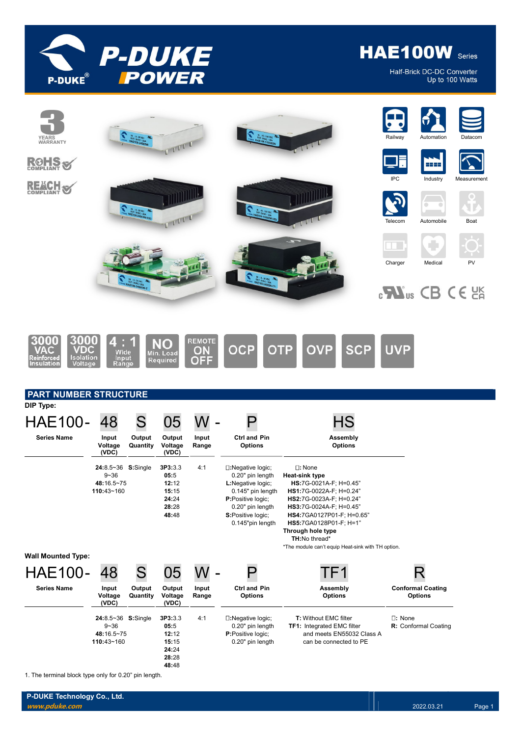

Half-Brick DC-DC Converter Up to 100 Watts



1. The terminal block type only for 0.20" pin length.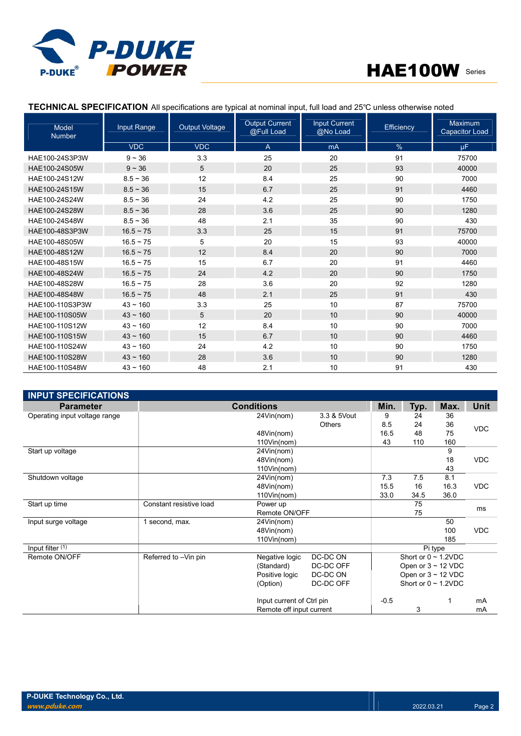

| Model<br><b>Number</b> | Input Range    | <b>Output Voltage</b> | <b>Output Current</b><br>@Full Load | <b>Input Current</b><br>@No Load | <b>Efficiency</b> | Maximum<br>Capacitor Load |
|------------------------|----------------|-----------------------|-------------------------------------|----------------------------------|-------------------|---------------------------|
|                        | <b>VDC</b>     | <b>VDC</b>            | $\overline{A}$                      | mA                               | $\%$              | μF.                       |
| HAE100-24S3P3W         | $9 - 36$       | 3.3                   | 25                                  | 20                               | 91                | 75700                     |
| HAE100-24S05W          | $9 - 36$       | 5                     | 20                                  | 25                               | 93                | 40000                     |
| HAE100-24S12W          | $8.5 - 36$     | 12                    | 8.4                                 | 25                               | 90                | 7000                      |
| HAE100-24S15W          | $8.5 - 36$     | 15                    | 6.7                                 | 25                               | 91                | 4460                      |
| HAE100-24S24W          | $8.5 - 36$     | 24                    | 4.2                                 | 25                               | 90                | 1750                      |
| HAE100-24S28W          | $8.5 - 36$     | 28                    | 3.6                                 | 25                               | 90                | 1280                      |
| HAE100-24S48W          | $8.5 - 36$     | 48                    | 2.1                                 | 35                               | 90                | 430                       |
| HAE100-48S3P3W         | $16.5 - 75$    | 3.3                   | 25                                  | 15                               | 91                | 75700                     |
| HAE100-48S05W          | $16.5 \sim 75$ | 5                     | 20                                  | 15                               | 93                | 40000                     |
| HAE100-48S12W          | $16.5 - 75$    | 12                    | 8.4                                 | 20                               | 90                | 7000                      |
| HAE100-48S15W          | $16.5 \sim 75$ | 15                    | 6.7                                 | 20                               | 91                | 4460                      |
| HAE100-48S24W          | $16.5 - 75$    | 24                    | 4.2                                 | 20                               | 90                | 1750                      |
| HAE100-48S28W          | $16.5 \sim 75$ | 28                    | 3.6                                 | 20                               | 92                | 1280                      |
| HAE100-48S48W          | $16.5 \sim 75$ | 48                    | 2.1                                 | 25                               | 91                | 430                       |
| HAE100-110S3P3W        | $43 \sim 160$  | 3.3                   | 25                                  | 10                               | 87                | 75700                     |
| HAE100-110S05W         | $43 \sim 160$  | 5                     | 20                                  | 10                               | 90                | 40000                     |
| HAE100-110S12W         | $43 - 160$     | 12                    | 8.4                                 | 10                               | 90                | 7000                      |
| HAE100-110S15W         | $43 \sim 160$  | 15                    | 6.7                                 | 10                               | 90                | 4460                      |
| HAE100-110S24W         | $43 - 160$     | 24                    | 4.2                                 | 10                               | 90                | 1750                      |
| HAE100-110S28W         | $43 \sim 160$  | 28                    | 3.6                                 | 10                               | 90                | 1280                      |
| HAE100-110S48W         | $43 - 160$     | 48                    | 2.1                                 | 10                               | 91                | 430                       |

# TECHNICAL SPECIFICATION All specifications are typical at nominal input, full load and 25℃ unless otherwise noted

| <b>INPUT SPECIFICATIONS</b>   |                         |                           |               |        |                           |         |             |  |  |
|-------------------------------|-------------------------|---------------------------|---------------|--------|---------------------------|---------|-------------|--|--|
| <b>Parameter</b>              |                         | <b>Conditions</b>         |               | Min.   | Typ.                      | Max.    | <b>Unit</b> |  |  |
| Operating input voltage range |                         | 24Vin(nom)                | 3.3 & 5Vout   | 9      | 24                        | 36      |             |  |  |
|                               |                         |                           | <b>Others</b> | 8.5    | 24                        | 36      | <b>VDC</b>  |  |  |
|                               |                         | 48Vin(nom)                |               | 16.5   | 48                        | 75      |             |  |  |
|                               |                         | 110Vin(nom)               |               | 43     | 110                       | 160     |             |  |  |
| Start up voltage              |                         | 24Vin(nom)                |               |        |                           | 9       |             |  |  |
|                               |                         | 48Vin(nom)                |               |        |                           | 18      | <b>VDC</b>  |  |  |
|                               |                         | 110Vin(nom)               |               |        |                           | 43      |             |  |  |
| Shutdown voltage              |                         | 24Vin(nom)                |               | 7.3    | 7.5                       | 8.1     |             |  |  |
|                               |                         | 48Vin(nom)                |               | 15.5   | 16                        | 16.3    | <b>VDC</b>  |  |  |
|                               |                         | 110Vin(nom)               |               | 33.0   | 34.5                      | 36.0    |             |  |  |
| Start up time                 | Constant resistive load | Power up                  |               |        | 75                        |         | ms          |  |  |
|                               |                         | Remote ON/OFF             |               |        | 75                        |         |             |  |  |
| Input surge voltage           | 1 second, max.          | 24Vin(nom)                |               |        |                           | 50      |             |  |  |
|                               |                         | 48Vin(nom)                |               |        |                           | 100     | <b>VDC</b>  |  |  |
|                               |                         | 110Vin(nom)               |               |        |                           | 185     |             |  |  |
| Input filter (1)              |                         |                           |               |        |                           | Pi type |             |  |  |
| Remote ON/OFF                 | Referred to -Vin pin    | Negative logic            | DC-DC ON      |        | Short or $0 \sim 1.2$ VDC |         |             |  |  |
|                               |                         | (Standard)                | DC-DC OFF     |        | Open or $3 \sim 12$ VDC   |         |             |  |  |
|                               |                         | Positive logic            | DC-DC ON      |        | Open or $3 \sim 12$ VDC   |         |             |  |  |
|                               |                         | (Option)                  | DC-DC OFF     |        | Short or $0 \sim 1.2$ VDC |         |             |  |  |
|                               |                         | Input current of Ctrl pin |               | $-0.5$ |                           | 1       | mA          |  |  |
| Remote off input current      |                         |                           |               |        | 3                         |         | mA          |  |  |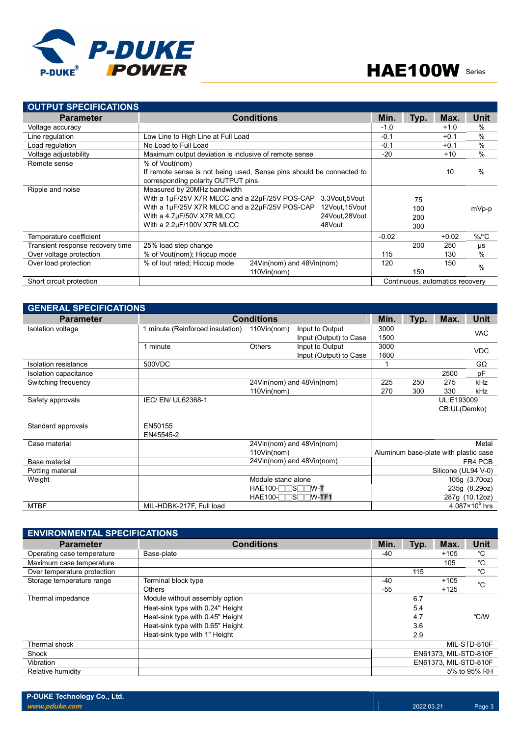

| <b>OUTPUT SPECIFICATIONS</b>     |                                                                      |                |         |        |                                 |                    |
|----------------------------------|----------------------------------------------------------------------|----------------|---------|--------|---------------------------------|--------------------|
| <b>Parameter</b>                 | <b>Conditions</b>                                                    | Min.           | Typ.    | Max.   | <b>Unit</b>                     |                    |
| Voltage accuracy                 |                                                                      | $-1.0$         |         | $+1.0$ | $\%$                            |                    |
| Line regulation                  | Low Line to High Line at Full Load                                   | $-0.1$         |         | $+0.1$ | $\frac{0}{0}$                   |                    |
| Load regulation                  | No Load to Full Load                                                 |                | $-0.1$  |        | $+0.1$                          | $\frac{0}{0}$      |
| Voltage adjustability            | Maximum output deviation is inclusive of remote sense                |                | $-20$   |        | $+10$                           | $\frac{0}{0}$      |
| Remote sense                     | % of Vout(nom)                                                       |                |         |        |                                 |                    |
|                                  | If remote sense is not being used, Sense pins should be connected to |                |         |        | 10                              | $\frac{0}{0}$      |
|                                  | corresponding polarity OUTPUT pins.                                  |                |         |        |                                 |                    |
| Ripple and noise                 | Measured by 20MHz bandwidth                                          |                |         |        |                                 |                    |
|                                  | With a 1µF/25V X7R MLCC and a 22µF/25V POS-CAP                       | 3.3Vout,5Vout  |         | 75     |                                 |                    |
|                                  | With a 1µF/25V X7R MLCC and a 22µF/25V POS-CAP                       | 12Vout, 15Vout |         | 100    |                                 | mVp-p              |
|                                  | With a 4.7µF/50V X7R MLCC                                            | 24Vout, 28Vout |         | 200    |                                 |                    |
|                                  | With a 2.2µF/100V X7R MLCC                                           | 48Vout         |         | 300    |                                 |                    |
| Temperature coefficient          |                                                                      |                | $-0.02$ |        | $+0.02$                         | $%$ / $^{\circ}$ C |
| Transient response recovery time | 25% load step change                                                 |                | 200     | 250    | μs                              |                    |
| Over voltage protection          | % of Vout(nom); Hiccup mode                                          | 115            |         | 130    | %                               |                    |
| Over load protection             | 24Vin(nom) and 48Vin(nom)<br>% of lout rated; Hiccup mode            |                | 120     |        | 150                             | $\frac{0}{0}$      |
|                                  | 110Vin(nom)                                                          |                |         | 150    |                                 |                    |
| Short circuit protection         |                                                                      |                |         |        | Continuous, automatics recovery |                    |

| <b>GENERAL SPECIFICATIONS</b> |                                  |                    |                           |      |      |                                       |                       |
|-------------------------------|----------------------------------|--------------------|---------------------------|------|------|---------------------------------------|-----------------------|
| <b>Parameter</b>              | <b>Conditions</b>                | Min.               | Typ.                      | Max. | Unit |                                       |                       |
| Isolation voltage             | 1 minute (Reinforced insulation) | 110Vin(nom)        | Input to Output           | 3000 |      |                                       | <b>VAC</b>            |
|                               |                                  |                    | Input (Output) to Case    | 1500 |      |                                       |                       |
|                               | 1 minute                         | <b>Others</b>      | Input to Output           | 3000 |      |                                       | <b>VDC</b>            |
|                               |                                  |                    | Input (Output) to Case    | 1600 |      |                                       |                       |
| Isolation resistance          | 500VDC                           |                    |                           |      |      |                                       | $G\Omega$             |
| Isolation capacitance         |                                  |                    |                           |      |      | 2500                                  | pF                    |
| Switching frequency           |                                  |                    | 24Vin(nom) and 48Vin(nom) | 225  | 250  | 275                                   | kHz                   |
|                               |                                  | 110Vin(nom)        |                           | 270  | 300  | 330                                   | kHz                   |
| Safety approvals              | IEC/ EN/ UL62368-1               |                    |                           |      |      | UL:E193009                            |                       |
|                               |                                  |                    |                           |      |      | CB:UL(Demko)                          |                       |
|                               |                                  |                    |                           |      |      |                                       |                       |
| Standard approvals            | EN50155                          |                    |                           |      |      |                                       |                       |
|                               | EN45545-2                        |                    |                           |      |      |                                       |                       |
| Case material                 |                                  |                    | 24Vin(nom) and 48Vin(nom) |      |      |                                       | Metal                 |
|                               |                                  | 110Vin(nom)        |                           |      |      | Aluminum base-plate with plastic case |                       |
| Base material                 |                                  |                    | 24Vin(nom) and 48Vin(nom) |      |      |                                       | FR4 PCB               |
| Potting material              |                                  |                    |                           |      |      | Silicone (UL94 V-0)                   |                       |
| Weight                        |                                  | Module stand alone |                           |      |      |                                       | 105g (3.70oz)         |
|                               |                                  | $HAE100-TTST/W-T$  |                           |      |      |                                       | 235g (8.29oz)         |
|                               |                                  | $HAE100-TTSTW-TF1$ |                           |      |      |                                       | 287g (10.12oz)        |
| <b>MTBF</b>                   | MIL-HDBK-217F, Full load         |                    |                           |      |      |                                       | $4.087\times10^5$ hrs |

| <b>ENVIRONMENTAL SPECIFICATIONS</b> |                                  |       |                       |                       |              |  |  |  |  |
|-------------------------------------|----------------------------------|-------|-----------------------|-----------------------|--------------|--|--|--|--|
| <b>Parameter</b>                    | <b>Conditions</b>                | Min.  | Typ.                  | Max.                  | Unit         |  |  |  |  |
| Operating case temperature          | Base-plate                       | -40   |                       | $+105$                | °C           |  |  |  |  |
| Maximum case temperature            |                                  |       |                       | 105                   | $^{\circ}C$  |  |  |  |  |
| Over temperature protection         |                                  |       | 115                   |                       | °C           |  |  |  |  |
| Storage temperature range           | Terminal block type              | $-40$ |                       | $+105$                | °C           |  |  |  |  |
|                                     | <b>Others</b>                    | $-55$ |                       | $+125$                |              |  |  |  |  |
| Thermal impedance                   | Module without assembly option   |       | 6.7                   |                       |              |  |  |  |  |
|                                     | Heat-sink type with 0.24" Height |       | 5.4                   |                       |              |  |  |  |  |
|                                     | Heat-sink type with 0.45" Height |       | 4.7                   |                       | °C/W         |  |  |  |  |
|                                     | Heat-sink type with 0.65" Height |       | 3.6                   |                       |              |  |  |  |  |
|                                     | Heat-sink type with 1" Height    |       | 2.9                   |                       |              |  |  |  |  |
| Thermal shock                       |                                  |       |                       |                       | MIL-STD-810F |  |  |  |  |
| Shock                               |                                  |       |                       | EN61373. MIL-STD-810F |              |  |  |  |  |
| Vibration                           |                                  |       | EN61373, MIL-STD-810F |                       |              |  |  |  |  |
| Relative humidity                   |                                  |       | 5% to 95% RH          |                       |              |  |  |  |  |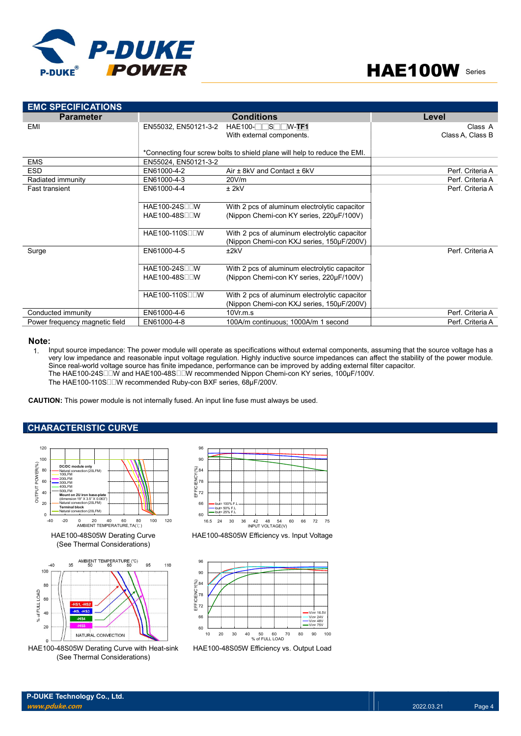



| <b>EMC SPECIFICATIONS</b>      |                             |                                                                           |                  |
|--------------------------------|-----------------------------|---------------------------------------------------------------------------|------------------|
| <b>Parameter</b>               |                             | <b>Conditions</b>                                                         | Level            |
| EMI                            | EN55032, EN50121-3-2        | $HAE100-TTST/W-TF1$                                                       | Class A          |
|                                |                             | With external components.                                                 | Class A, Class B |
|                                |                             |                                                                           |                  |
|                                |                             | *Connecting four screw bolts to shield plane will help to reduce the EMI. |                  |
| <b>EMS</b>                     | EN55024, EN50121-3-2        |                                                                           |                  |
| <b>ESD</b>                     | EN61000-4-2                 | Air $\pm$ 8kV and Contact $\pm$ 6kV                                       | Perf. Criteria A |
| Radiated immunity              | EN61000-4-3                 | 20V/m                                                                     | Perf. Criteria A |
| <b>Fast transient</b>          | EN61000-4-4                 | $±$ 2kV                                                                   | Perf. Criteria A |
|                                |                             |                                                                           |                  |
|                                | HAE100-24S□□W               | With 2 pcs of aluminum electrolytic capacitor                             |                  |
|                                | HAE100-48S <sub>U</sub>     | (Nippon Chemi-con KY series, 220µF/100V)                                  |                  |
|                                |                             |                                                                           |                  |
|                                | HAE100-110SODW              | With 2 pcs of aluminum electrolytic capacitor                             |                  |
|                                |                             | (Nippon Chemi-con KXJ series, 150µF/200V)                                 |                  |
| Surge                          | EN61000-4-5                 | ±2kV                                                                      | Perf. Criteria A |
|                                |                             |                                                                           |                  |
|                                | HAE100-24S□□W               | With 2 pcs of aluminum electrolytic capacitor                             |                  |
|                                | HAE100-48S□□W               | (Nippon Chemi-con KY series, 220µF/100V)                                  |                  |
|                                |                             |                                                                           |                  |
|                                | HAE100-110S <sub>II</sub> W | With 2 pcs of aluminum electrolytic capacitor                             |                  |
|                                |                             | (Nippon Chemi-con KXJ series, 150µF/200V)                                 |                  |
| Conducted immunity             | EN61000-4-6                 | $10Vr$ m.s.                                                               | Perf. Criteria A |
| Power frequency magnetic field | EN61000-4-8                 | 100A/m continuous; 1000A/m 1 second                                       | Perf. Criteria A |

#### Note:

1. Input source impedance: The power module will operate as specifications without external components, assuming that the source voltage has a very low impedance and reasonable input voltage regulation. Highly inductive source impedances can affect the stability of the power module. Since real-world voltage source has finite impedance, performance can be improved by adding external filter capacitor. The HAE100-24S□□W and HAE100-48S□□W recommended Nippon Chemi-con KY series, 100µF/100V. The HAE100-110S□□W recommended Ruby-con BXF series, 68µF/200V. With 2 pos of aluminum electrolytic capacitor<br>
(Nippon Chemi-con KXJ series, 150µF/200V)<br>
(OVr.m.s.<br>
160A/m continuous; 1000A/m 1 second<br>
160A/m continuous; 1000A/m 1 second<br>
perate as specifications without external comp

CAUTION: This power module is not internally fused. An input line fuse must always be used.

### CHARACTERISTIC CURVE



HAE100-48S05W Derating Curve with Heat-sink (See Thermal Considerations)







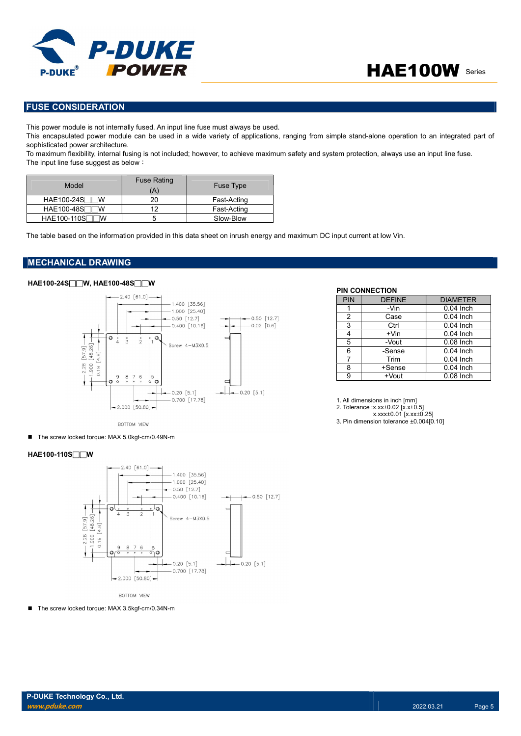

# FUSE CONSIDERATION

This power module is not internally fused. An input line fuse must always be used.

This encapsulated power module can be used in a wide variety of applications, ranging from simple stand-alone operation to an integrated part of sophisticated power architecture.

To maximum flexibility, internal fusing is not included; however, to achieve maximum safety and system protection, always use an input line fuse. The input line fuse suggest as below:

| Model                   | <b>Fuse Rating</b><br>(A | <b>Fuse Type</b> |
|-------------------------|--------------------------|------------------|
| <b>HAE100-24S</b><br>w  | 20                       | Fast-Acting      |
| <b>HAE100-48S</b><br>w  | 12                       | Fast-Acting      |
| <b>HAE100-110S</b><br>w |                          | Slow-Blow        |

The table based on the information provided in this data sheet on inrush energy and maximum DC input current at low Vin.

# MECHANICAL DRAWING

# HAE100-24S□□W, HAE100-48S□□W



BOTTOM VIEW

■ The screw locked torque: MAX 5.0kgf-cm/0.49N-m

## HAE100-110S□□W



**BOTTOM VIEW** 

■ The screw locked torque: MAX 3.5kgf-cm/0.34N-m

#### PIN CONNECTION

| PIN            | <b>DEFINE</b> | <b>DIAMETER</b>        |
|----------------|---------------|------------------------|
| 1              | -Vin          | $0.04$ Inch            |
| $\overline{2}$ | Case          | $0.04$ Inch            |
| 3              | Ctrl          | $0.04$ Inch            |
| 4              | $+V$ in       | $0.04$ Inch            |
| 5              | -Vout         | $0.08$ Inch            |
| 6              | -Sense        | $0.04$ Inch            |
| 7              | Trim          | $0.04$ Inch            |
| 8              | +Sense        | $\overline{0.04}$ Inch |
| 9              | +Vout         | $0.08$ Inch            |

1. All dimensions in inch [mm]

2. Tolerance :x.xx±0.02 [x.x±0.5]

x.xxx±0.01 [x.xx±0.25]

3. Pin dimension tolerance ±0.004[0.10]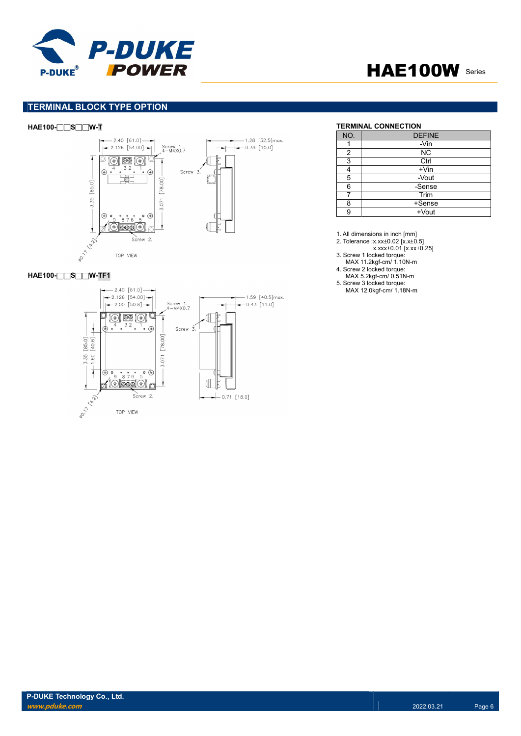



## TERMINAL BLOCK TYPE OPTION



### HAE100-□□S□□W-TF1



#### HAE100-□□S□□W-T TERMINAL CONNECTION

| NO. | <b>DEFINE</b> |
|-----|---------------|
|     | -Vin          |
| 2   | <b>NC</b>     |
| 3   | Ctrl          |
|     | $+V$ in       |
| 5   | -Vout         |
| 6   | -Sense        |
|     | Trim          |
| 8   | +Sense        |
|     | +Vout         |

1. All dimensions in inch [mm]

- 2. Tolerance :x.xx±0.02 [x.x±0.5]
- x.xxx±0.01 [x.xx±0.25]
- 3. Screw 1 locked torque:
- MAX 11.2kgf-cm/ 1.10N-m
- 4. Screw 2 locked torque: MAX 5.2kgf-cm/ 0.51N-m
- 5. Screw 3 locked torque:

MAX 12.0kgf-cm/ 1.18N-m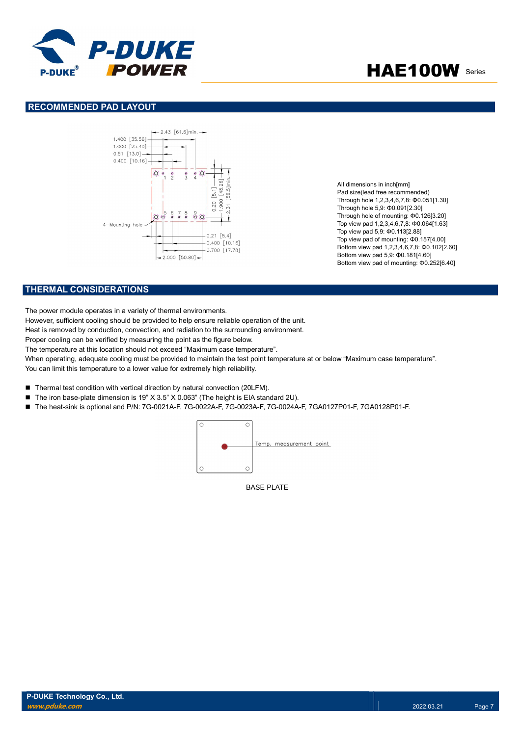

### RECOMMENDED PAD LAYOUT



All dimensions in inch[mm] Pad size(lead free recommended) Through hole 1,2,3,4,6,7,8: Φ0.051[1.30] Through hole 5,9: Φ0.091[2.30] Through hole of mounting: Φ0.126[3.20] Top view pad 1,2,3,4,6,7,8: Φ0.064[1.63] Top view pad 5,9: Φ0.113[2.88] Top view pad of mounting: Φ0.157[4.00] Bottom view pad 1,2,3,4,6,7,8: Φ0.102[2.60] Bottom view pad 5,9: Φ0.181[4.60] Bottom view pad of mounting: Φ0.252[6.40]

# THERMAL CONSIDERATIONS

The power module operates in a variety of thermal environments.

However, sufficient cooling should be provided to help ensure reliable operation of the unit.

Heat is removed by conduction, convection, and radiation to the surrounding environment.

Proper cooling can be verified by measuring the point as the figure below.

The temperature at this location should not exceed "Maximum case temperature".

When operating, adequate cooling must be provided to maintain the test point temperature at or below "Maximum case temperature". You can limit this temperature to a lower value for extremely high reliability.

- Thermal test condition with vertical direction by natural convection (20LFM).
- The iron base-plate dimension is 19" X 3.5" X 0.063" (The height is EIA standard 2U).
- The heat-sink is optional and P/N: 7G-0021A-F, 7G-0022A-F, 7G-0023A-F, 7G-0024A-F, 7GA0127P01-F, 7GA0128P01-F.



BASE PLATE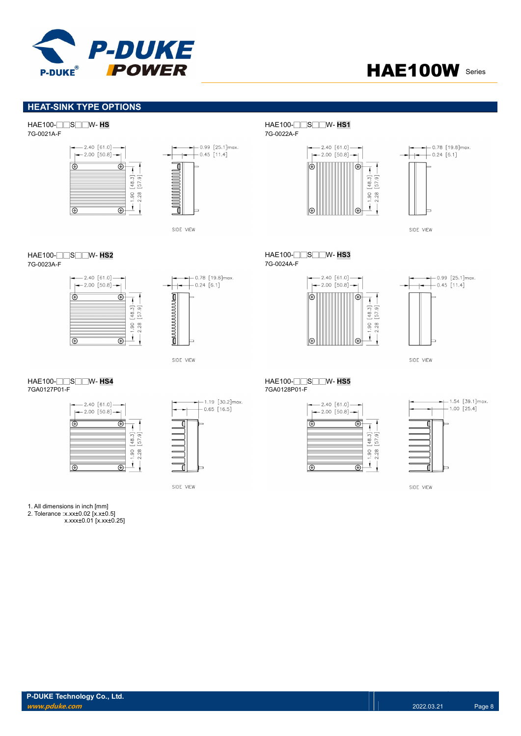

# **HEAT-SINK TYPE OPTIONS**

7G-0021A-F 7G-0022A-F





7G-0023A-F 7G-0024A-F





SIDE VIEW

| $-2.40$ [61.0] -<br>$-2.00$ [50.8] |                |
|------------------------------------|----------------|
|                                    |                |
|                                    | 48,<br>8<br>္တ |
|                                    |                |

 $-1.19$  [30.2] max.  $-0.65$  [16.5]

SIDE VIEW

HAE100-□□S□□W- HS HAE100-□□S□□W- HS1





HAE100-□□S□□W- **HS2**<br>7G-0023A-F 7G-0024A-F





SIDE VIEW







SIDE VIEW

1. All dimensions in inch [mm]

2. Tolerance :x.xx±0.02 [x.x±0.5] x.xxx±0.01 [x.xx±0.25]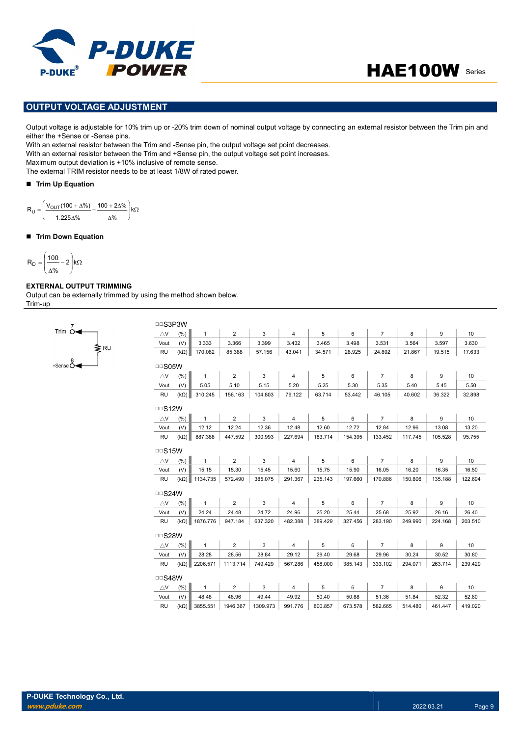

# OUTPUT VOLTAGE ADJUSTMENT

Output voltage is adjustable for 10% trim up or -20% trim down of nominal output voltage by connecting an external resistor between the Trim pin and either the +Sense or -Sense pins.

With an external resistor between the Trim and -Sense pin, the output voltage set point decreases. With an external resistor between the Trim and +Sense pin, the output voltage set point increases.

Maximum output deviation is +10% inclusive of remote sense.

The external TRIM resistor needs to be at least 1/8W of rated power.

#### Trim Up Equation

$$
R_U = \left(\frac{V_{OUT}(100 + \Delta\%)}{1.225\Delta\%} - \frac{100 + 2\Delta\%}{\Delta\%}\right)k\Omega
$$

#### ■ Trim Down Equation

$$
R_D=\Bigg(\frac{100}{\Delta\%}-2\Bigg)k\Omega
$$

### EXTERNAL OUTPUT TRIMMING

 $RU$ 

Trim  $64$ 

Output can be externally trimmed by using the method shown below. Trim-up

| □□S3P3W                    |             |              |                |          |                |         |         |                |         |         |         |
|----------------------------|-------------|--------------|----------------|----------|----------------|---------|---------|----------------|---------|---------|---------|
| $\triangle$ V              | (% )        | $\mathbf{1}$ | $\overline{2}$ | 3        | $\overline{4}$ | 5       | 6       | $\overline{7}$ | 8       | 9       | 10      |
| Vout                       | (V)         | 3.333        | 3.366          | 3.399    | 3.432          | 3.465   | 3.498   | 3.531          | 3.564   | 3.597   | 3.630   |
| <b>RU</b>                  | $(k\Omega)$ | 170.082      | 85.388         | 57.156   | 43.041         | 34.571  | 28.925  | 24.892         | 21.867  | 19.515  | 17.633  |
|                            |             |              |                |          |                |         |         |                |         |         |         |
| $\Box$ S05W                |             |              |                |          |                |         |         |                |         |         |         |
| $\bigtriangleup\mathsf{V}$ | (% )        | $\mathbf{1}$ | $\overline{2}$ | 3        | $\overline{4}$ | 5       | 6       | $\overline{7}$ | 8       | 9       | 10      |
| Vout                       | (V)         | 5.05         | 5.10           | 5.15     | 5.20           | 5.25    | 5.30    | 5.35           | 5.40    | 5.45    | 5.50    |
| <b>RU</b>                  | $(k\Omega)$ | 310.245      | 156.163        | 104.803  | 79.122         | 63.714  | 53.442  | 46.105         | 40.602  | 36.322  | 32.898  |
| $\Box$ S12W                |             |              |                |          |                |         |         |                |         |         |         |
| $\triangle$ V              | (% )        | $\mathbf{1}$ | $\overline{2}$ | 3        | $\overline{4}$ | 5       | 6       | $\overline{7}$ | 8       | 9       | 10      |
| Vout                       | (V)         | 12.12        | 12.24          | 12.36    | 12.48          | 12.60   | 12.72   | 12.84          | 12.96   | 13.08   | 13.20   |
| RU                         | $(k\Omega)$ | 887.388      | 447.592        | 300.993  | 227.694        | 183.714 | 154.395 | 133.452        | 117.745 | 105.528 | 95.755  |
| $\Box$ S15W                |             |              |                |          |                |         |         |                |         |         |         |
|                            |             |              |                |          |                |         |         |                |         |         |         |
| $\triangle$ V              | (% )        | $\mathbf{1}$ | $\overline{2}$ | 3        | $\overline{4}$ | 5       | 6       | $\overline{7}$ | 8       | 9       | 10      |
| Vout                       | (V)         | 15.15        | 15.30          | 15.45    | 15.60          | 15.75   | 15.90   | 16.05          | 16.20   | 16.35   | 16.50   |
| <b>RU</b>                  | $(k\Omega)$ | 1134.735     | 572.490        | 385.075  | 291.367        | 235.143 | 197.660 | 170.886        | 150.806 | 135.188 | 122.694 |
| □□S24W                     |             |              |                |          |                |         |         |                |         |         |         |
| $\triangle$ V              | (%)         | $\mathbf{1}$ | $\overline{2}$ | 3        | $\overline{4}$ | 5       | 6       | $\overline{7}$ | 8       | 9       | 10      |
| Vout                       | (V)         | 24.24        | 24.48          | 24.72    | 24.96          | 25.20   | 25.44   | 25.68          | 25.92   | 26.16   | 26.40   |
| <b>RU</b>                  | $(k\Omega)$ | 1876.776     | 947.184        | 637.320  | 482.388        | 389.429 | 327.456 | 283.190        | 249.990 | 224.168 | 203.510 |
| □□S28W                     |             |              |                |          |                |         |         |                |         |         |         |
| $\triangle$ V              | (% )        | $\mathbf{1}$ | $\overline{2}$ | 3        | $\overline{4}$ | 5       | 6       | $\overline{7}$ | 8       | 9       | 10      |
| Vout                       | (V)         | 28.28        | 28.56          | 28.84    | 29.12          | 29.40   | 29.68   | 29.96          | 30.24   | 30.52   | 30.80   |
| <b>RU</b>                  | $(k\Omega)$ | 2206.571     | 1113.714       | 749.429  | 567.286        | 458.000 | 385.143 | 333.102        | 294.071 | 263.714 | 239.429 |
|                            |             |              |                |          |                |         |         |                |         |         |         |
| $\Box$ S48W                |             |              |                |          |                |         |         |                |         |         |         |
| $\triangle$ V              | (% )        | $\mathbf{1}$ | $\overline{2}$ | 3        | $\overline{4}$ | 5       | 6       | $\overline{7}$ | 8       | 9       | 10      |
| Vout                       | (V)         | 48.48        | 48.96          | 49.44    | 49.92          | 50.40   | 50.88   | 51.36          | 51.84   | 52.32   | 52.80   |
| <b>RU</b>                  | $(k\Omega)$ | 3855.551     | 1946.367       | 1309.973 | 991.776        | 800.857 | 673.578 | 582.665        | 514.480 | 461.447 | 419.020 |